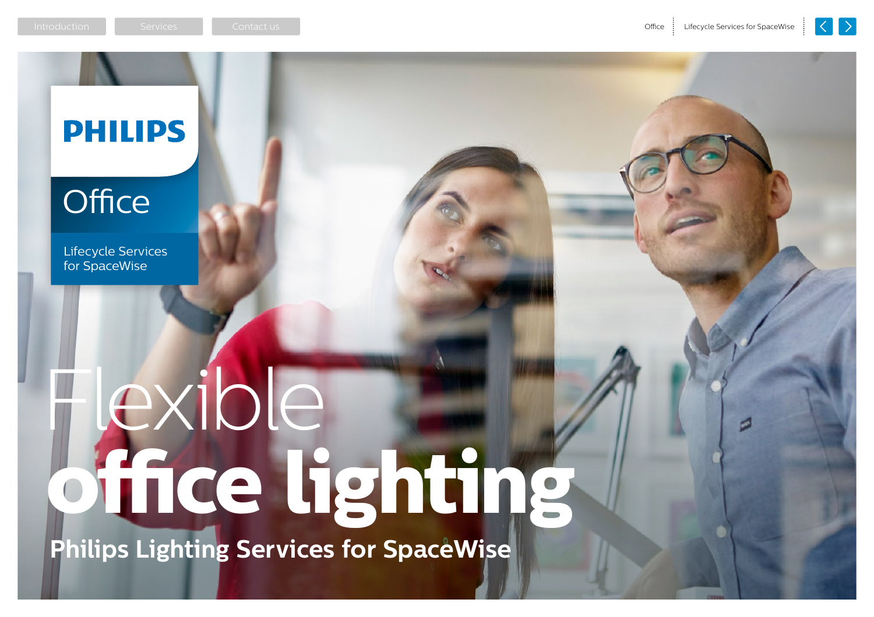

### **PHILIPS**

### Office

Lifecycle Services for SpaceWise

# Flexible **office lighting**

**Philips Lighting Services for SpaceWise**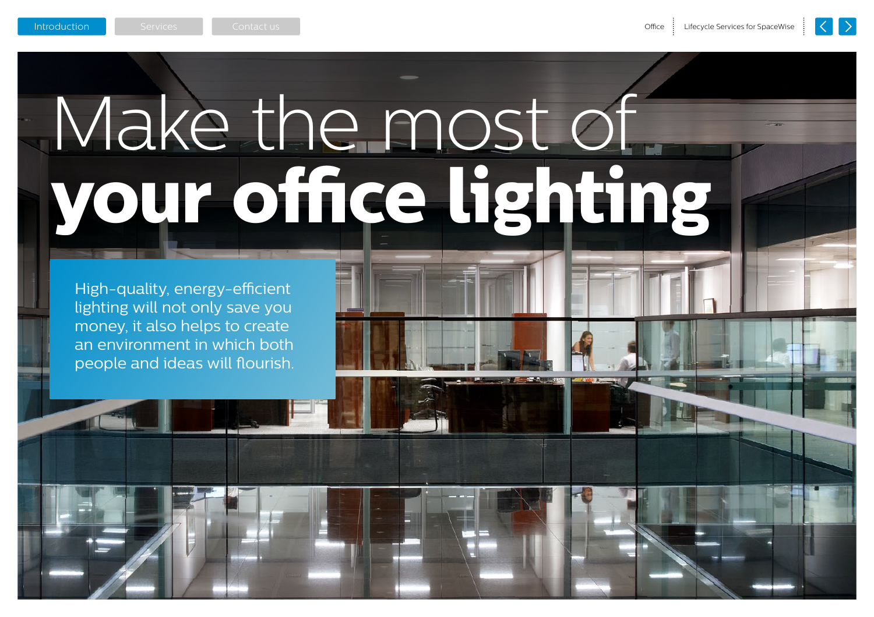## <span id="page-1-0"></span>Make the most of **your office lighting**

High-quality, energy-efficient lighting will not only save you money, it also helps to create an environment in which both people and ideas will flourish.

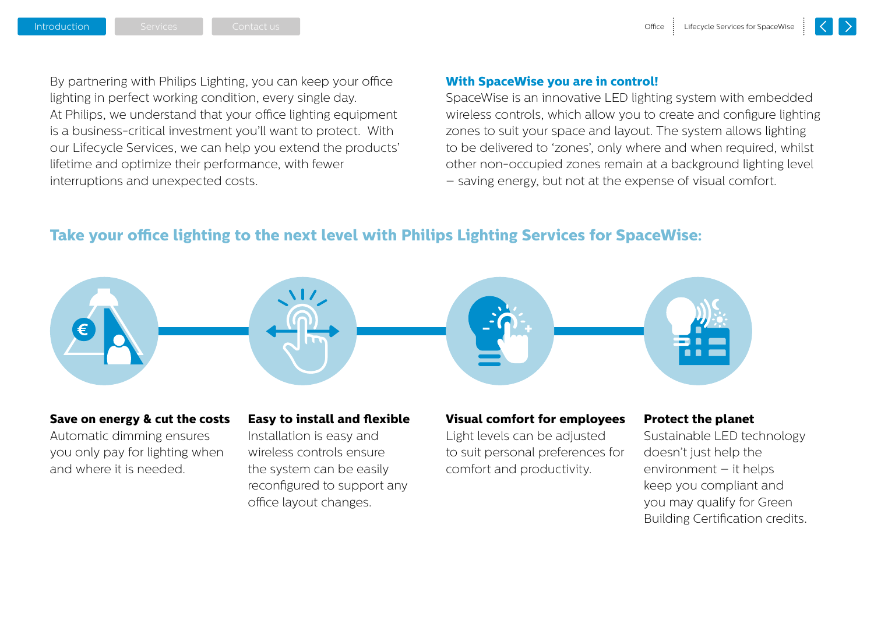By partnering with Philips Lighting, you can keep your office lighting in perfect working condition, every single day. At Philips, we understand that your office lighting equipment is a business-critical investment you'll want to protect. With our Lifecycle Services, we can help you extend the products' lifetime and optimize their performance, with fewer interruptions and unexpected costs.

#### **With SpaceWise you are in control!**

SpaceWise is an innovative LED lighting system with embedded wireless controls, which allow you to create and configure lighting zones to suit your space and layout. The system allows lighting to be delivered to 'zones', only where and when required, whilst other non-occupied zones remain at a background lighting level – saving energy, but not at the expense of visual comfort.

#### **Take your office lighting to the next level with Philips Lighting Services for SpaceWise:**



#### **Save on energy & cut the costs**

Automatic dimming ensures you only pay for lighting when and where it is needed.

#### **Easy to install and flexible**

Installation is easy and wireless controls ensure the system can be easily reconfigured to support any office layout changes.

#### **Visual comfort for employees**

Light levels can be adjusted to suit personal preferences for comfort and productivity.

#### **Protect the planet**

Sustainable LED technology doesn't just help the environment – it helps keep you compliant and you may qualify for Green Building Certification credits.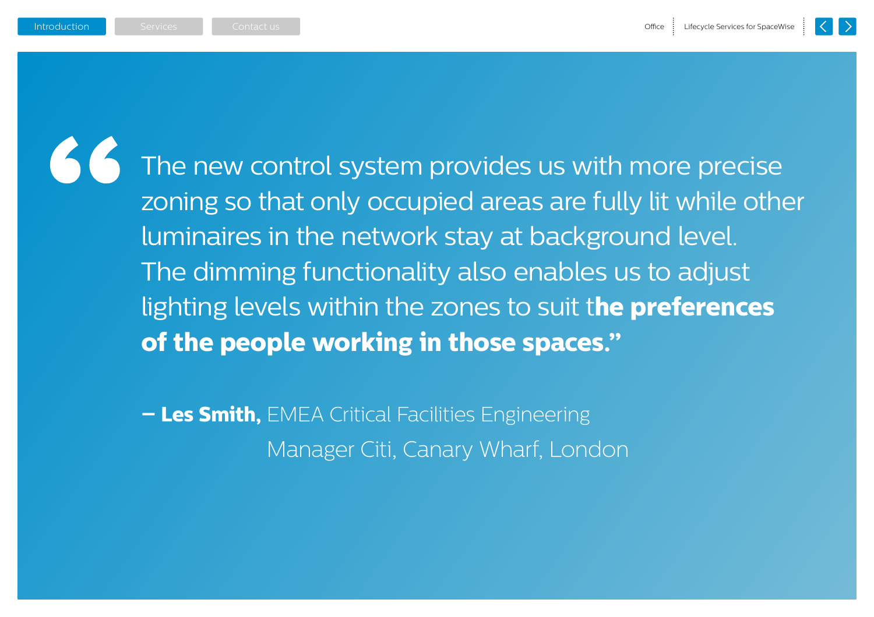The new control system provides us with more precise zoning so that only occupied areas are fully lit while other luminaires in the network stay at background level. The dimming functionality also enables us to adjust lighting levels within the zones to suit t**he preferences of the people working in those spaces."**

**– Les Smith,** EMEA Critical Facilities Engineering Manager Citi, Canary Wharf, London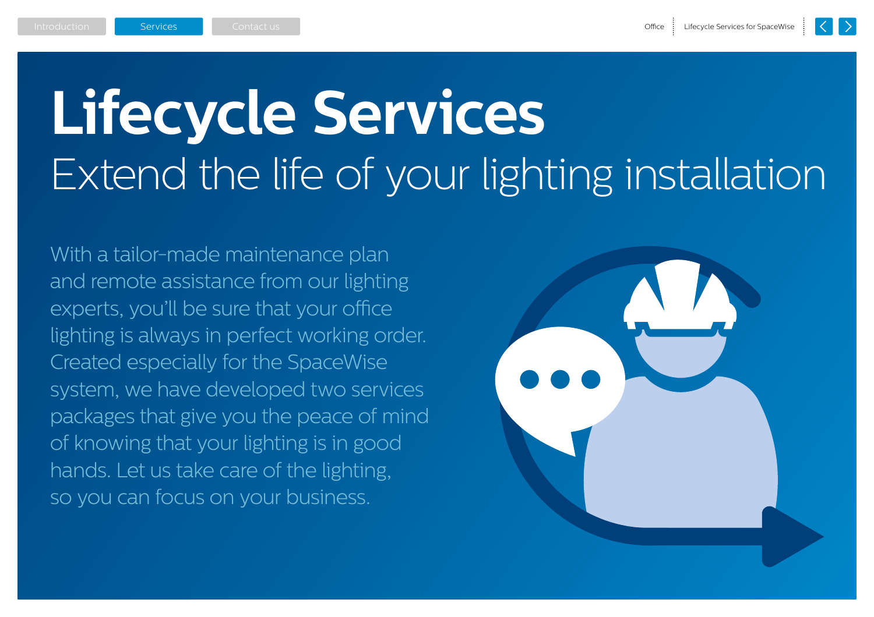## <span id="page-4-0"></span>**Lifecycle Services** Extend the life of your lighting installation

With a tailor-made maintenance plan and remote assistance from our lighting experts, you'll be sure that your office lighting is always in perfect working order. Created especially for the SpaceWise system, we have developed two services packages that give you the peace of mind of knowing that your lighting is in good hands. Let us take care of the lighting, so you can focus on your business.

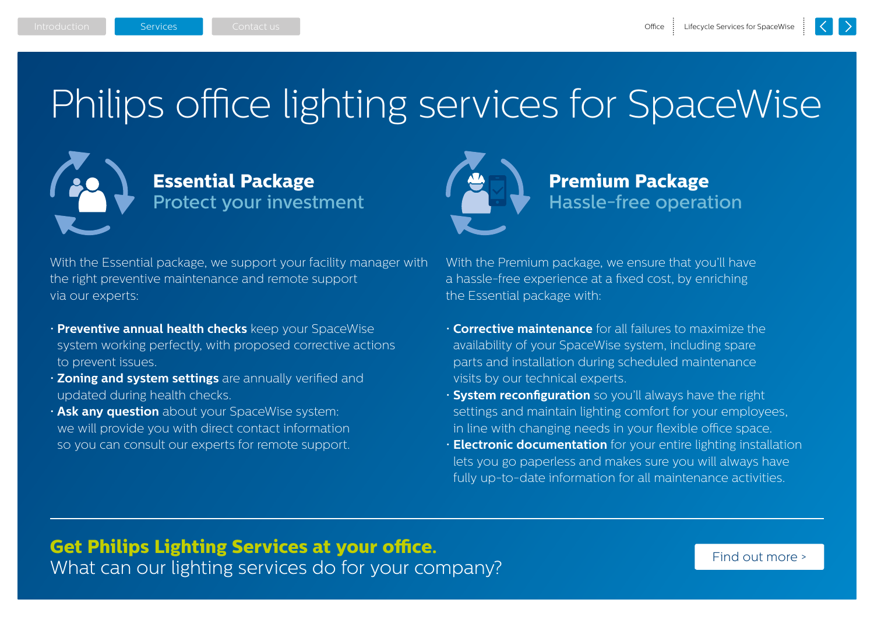## Philips office lighting services for SpaceWise



#### **Essential Package** Protect your investment

With the Essential package, we support your facility manager with the right preventive maintenance and remote support via our experts:

- **Preventive annual health checks** keep your SpaceWise system working perfectly, with proposed corrective actions to prevent issues.
- **Zoning and system settings** are annually verified and updated during health checks.
- **Ask any question** about your SpaceWise system: we will provide you with direct contact information so you can consult our experts for remote support.

**Premium Package** Hassle-free operation

With the Premium package, we ensure that you'll have a hassle-free experience at a fixed cost, by enriching the Essential package with:

- **Corrective maintenance** for all failures to maximize the availability of your SpaceWise system, including spare parts and installation during scheduled maintenance visits by our technical experts.
- **System reconfiguration** so you'll always have the right settings and maintain lighting comfort for your employees, in line with changing needs in your flexible office space.
- **Electronic documentation** for your entire lighting installation lets you go paperless and makes sure you will always have fully up-to-date information for all maintenance activities.

#### **Get Philips Lighting Services at your office.** What can our lighting services do for your company?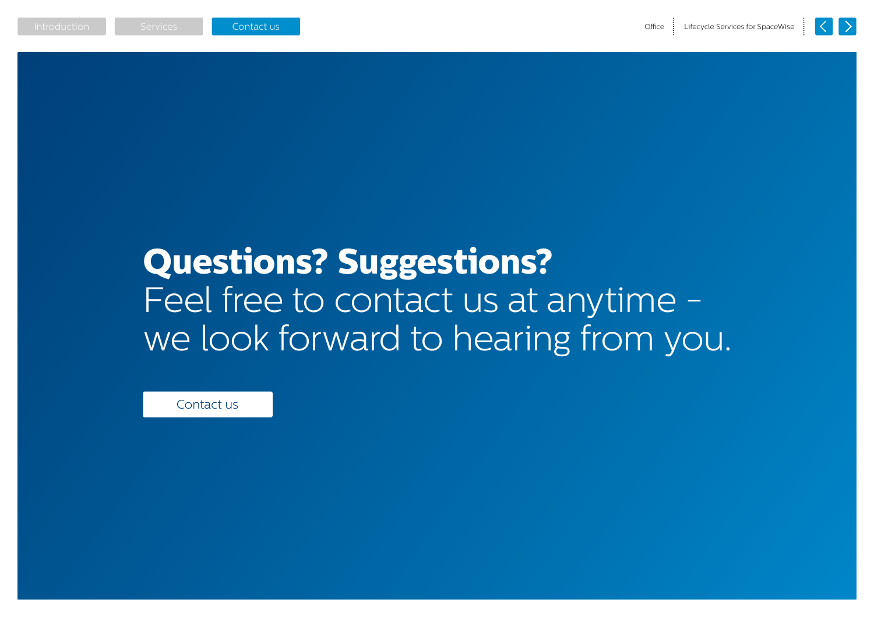## <span id="page-6-0"></span>**Questions? Suggestions?** Feel free to contact us at anytime we look forward to hearing from you.

Contact us